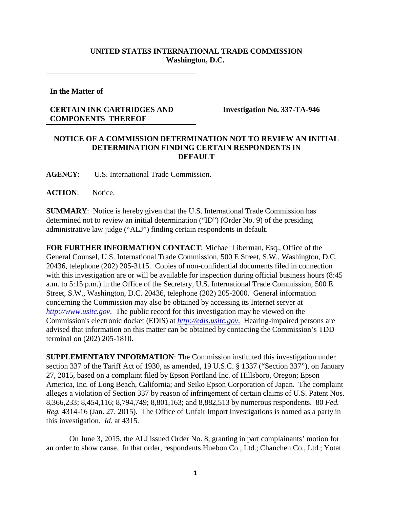## **UNITED STATES INTERNATIONAL TRADE COMMISSION Washington, D.C.**

**In the Matter of**

## **CERTAIN INK CARTRIDGES AND COMPONENTS THEREOF**

**Investigation No. 337-TA-946**

## **NOTICE OF A COMMISSION DETERMINATION NOT TO REVIEW AN INITIAL DETERMINATION FINDING CERTAIN RESPONDENTS IN DEFAULT**

**AGENCY**: U.S. International Trade Commission.

**ACTION**: Notice.

**SUMMARY**: Notice is hereby given that the U.S. International Trade Commission has determined not to review an initial determination ("ID") (Order No. 9) of the presiding administrative law judge ("ALJ") finding certain respondents in default.

**FOR FURTHER INFORMATION CONTACT**: Michael Liberman, Esq., Office of the General Counsel, U.S. International Trade Commission, 500 E Street, S.W., Washington, D.C. 20436, telephone (202) 205-3115. Copies of non-confidential documents filed in connection with this investigation are or will be available for inspection during official business hours (8:45 a.m. to 5:15 p.m.) in the Office of the Secretary, U.S. International Trade Commission, 500 E Street, S.W., Washington, D.C. 20436, telephone (202) 205-2000. General information concerning the Commission may also be obtained by accessing its Internet server at *http://www.usitc.gov*. The public record for this investigation may be viewed on the Commission's electronic docket (EDIS) at *http://edis.usitc.gov*. Hearing-impaired persons are advised that information on this matter can be obtained by contacting the Commission's TDD terminal on (202) 205-1810.

**SUPPLEMENTARY INFORMATION**: The Commission instituted this investigation under section 337 of the Tariff Act of 1930, as amended, 19 U.S.C. § 1337 ("Section 337"), on January 27, 2015, based on a complaint filed by Epson Portland Inc. of Hillsboro, Oregon; Epson America, Inc. of Long Beach, California; and Seiko Epson Corporation of Japan. The complaint alleges a violation of Section 337 by reason of infringement of certain claims of U.S. Patent Nos. 8,366,233; 8,454,116; 8,794,749; 8,801,163; and 8,882,513 by numerous respondents. 80 *Fed. Reg.* 4314-16 (Jan. 27, 2015). The Office of Unfair Import Investigations is named as a party in this investigation. *Id*. at 4315.

On June 3, 2015, the ALJ issued Order No. 8, granting in part complainants' motion for an order to show cause. In that order, respondents Huebon Co., Ltd.; Chanchen Co., Ltd.; Yotat